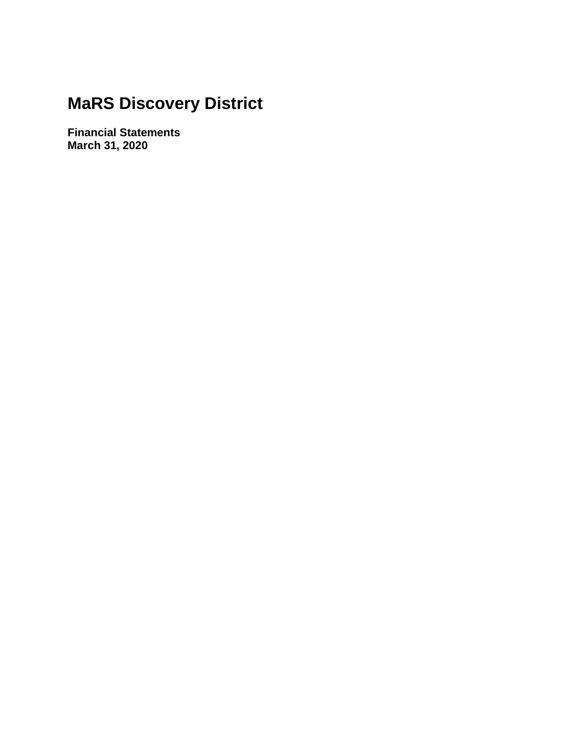**Financial Statements March 31, 2020**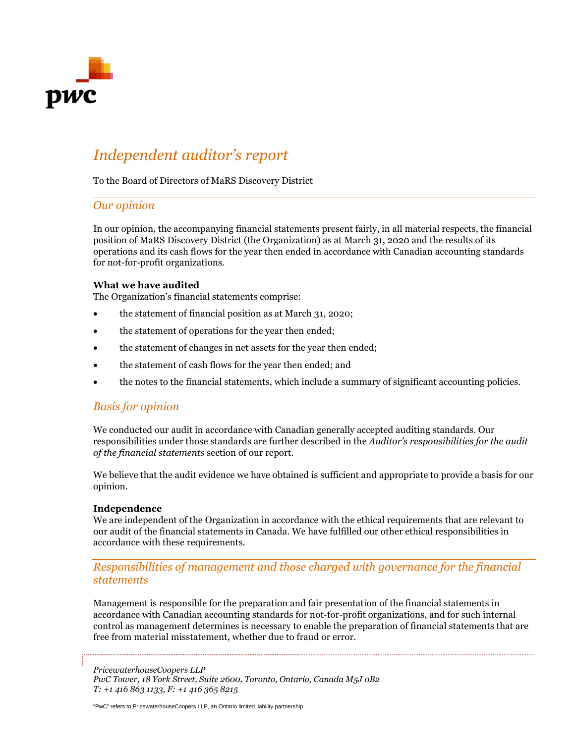

# *Independent auditor's report*

To the Board of Directors of MaRS Discovery District

# *Our opinion*

In our opinion, the accompanying financial statements present fairly, in all material respects, the financial position of MaRS Discovery District (the Organization) as at March 31, 2020 and the results of its operations and its cash flows for the year then ended in accordance with Canadian accounting standards for not-for-profit organizations.

# **What we have audited**

The Organization's financial statements comprise:

- the statement of financial position as at March 31, 2020;
- the statement of operations for the year then ended;
- the statement of changes in net assets for the year then ended;
- the statement of cash flows for the year then ended; and
- the notes to the financial statements, which include a summary of significant accounting policies.

# *Basis for opinion*

We conducted our audit in accordance with Canadian generally accepted auditing standards. Our responsibilities under those standards are further described in the *Auditor's responsibilities for the audit of the financial statements* section of our report.

We believe that the audit evidence we have obtained is sufficient and appropriate to provide a basis for our opinion.

## **Independence**

We are independent of the Organization in accordance with the ethical requirements that are relevant to our audit of the financial statements in Canada. We have fulfilled our other ethical responsibilities in accordance with these requirements.

# *Responsibilities of management and those charged with governance for the financial statements*

Management is responsible for the preparation and fair presentation of the financial statements in accordance with Canadian accounting standards for not-for-profit organizations, and for such internal control as management determines is necessary to enable the preparation of financial statements that are free from material misstatement, whether due to fraud or error.

*PricewaterhouseCoopers LLP PwC Tower, 18 York Street, Suite 2600, Toronto, Ontario, Canada M5J 0B2 T: +1 416 863 1133, F: +1 416 365 8215* 

"PwC" refers to PricewaterhouseCoopers LLP, an Ontario limited liability partnership.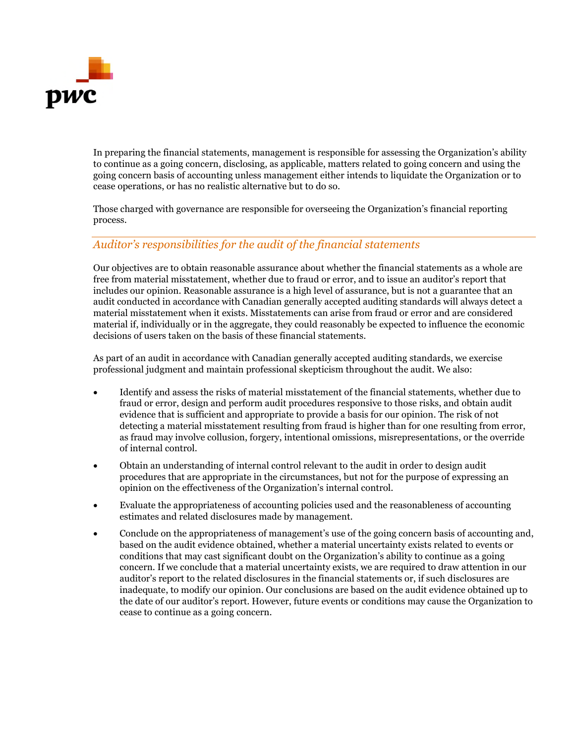

In preparing the financial statements, management is responsible for assessing the Organization's ability to continue as a going concern, disclosing, as applicable, matters related to going concern and using the going concern basis of accounting unless management either intends to liquidate the Organization or to cease operations, or has no realistic alternative but to do so.

Those charged with governance are responsible for overseeing the Organization's financial reporting process.

# *Auditor's responsibilities for the audit of the financial statements*

Our objectives are to obtain reasonable assurance about whether the financial statements as a whole are free from material misstatement, whether due to fraud or error, and to issue an auditor's report that includes our opinion. Reasonable assurance is a high level of assurance, but is not a guarantee that an audit conducted in accordance with Canadian generally accepted auditing standards will always detect a material misstatement when it exists. Misstatements can arise from fraud or error and are considered material if, individually or in the aggregate, they could reasonably be expected to influence the economic decisions of users taken on the basis of these financial statements.

As part of an audit in accordance with Canadian generally accepted auditing standards, we exercise professional judgment and maintain professional skepticism throughout the audit. We also:

- Identify and assess the risks of material misstatement of the financial statements, whether due to fraud or error, design and perform audit procedures responsive to those risks, and obtain audit evidence that is sufficient and appropriate to provide a basis for our opinion. The risk of not detecting a material misstatement resulting from fraud is higher than for one resulting from error, as fraud may involve collusion, forgery, intentional omissions, misrepresentations, or the override of internal control.
- Obtain an understanding of internal control relevant to the audit in order to design audit procedures that are appropriate in the circumstances, but not for the purpose of expressing an opinion on the effectiveness of the Organization's internal control.
- Evaluate the appropriateness of accounting policies used and the reasonableness of accounting estimates and related disclosures made by management.
- Conclude on the appropriateness of management's use of the going concern basis of accounting and, based on the audit evidence obtained, whether a material uncertainty exists related to events or conditions that may cast significant doubt on the Organization's ability to continue as a going concern. If we conclude that a material uncertainty exists, we are required to draw attention in our auditor's report to the related disclosures in the financial statements or, if such disclosures are inadequate, to modify our opinion. Our conclusions are based on the audit evidence obtained up to the date of our auditor's report. However, future events or conditions may cause the Organization to cease to continue as a going concern.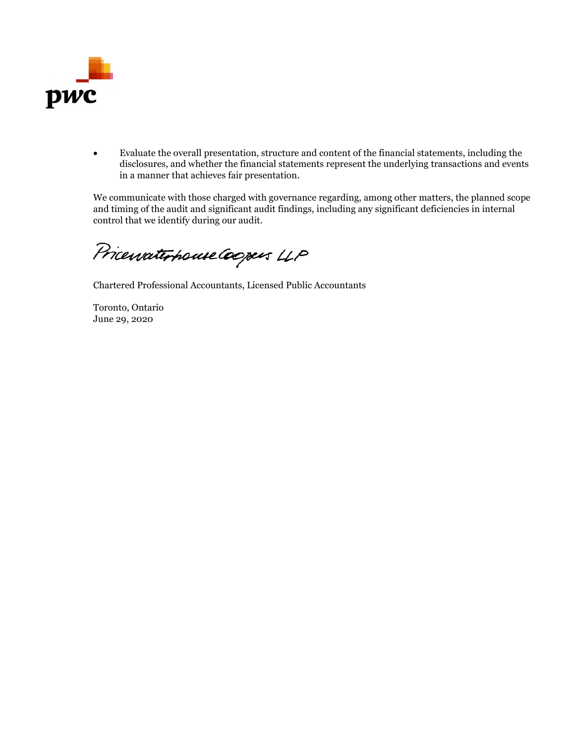

 Evaluate the overall presentation, structure and content of the financial statements, including the disclosures, and whether the financial statements represent the underlying transactions and events in a manner that achieves fair presentation.

We communicate with those charged with governance regarding, among other matters, the planned scope and timing of the audit and significant audit findings, including any significant deficiencies in internal control that we identify during our audit.

Pricewaterhouse Coopers LLP

Chartered Professional Accountants, Licensed Public Accountants

Toronto, Ontario June 29, 2020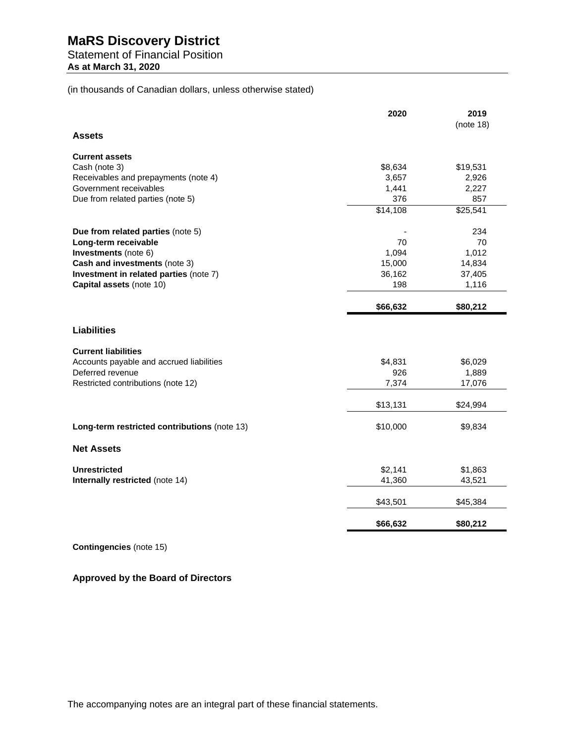# Statement of Financial Position

**As at March 31, 2020** 

(in thousands of Canadian dollars, unless otherwise stated)

|                                              | 2020     | 2019      |
|----------------------------------------------|----------|-----------|
| <b>Assets</b>                                |          | (note 18) |
|                                              |          |           |
| <b>Current assets</b>                        |          |           |
| Cash (note 3)                                | \$8,634  | \$19,531  |
| Receivables and prepayments (note 4)         | 3,657    | 2,926     |
| Government receivables                       | 1,441    | 2,227     |
| Due from related parties (note 5)            | 376      | 857       |
|                                              | \$14,108 | \$25,541  |
| Due from related parties (note 5)            |          | 234       |
| Long-term receivable                         | 70       | 70        |
| Investments (note 6)                         | 1,094    | 1,012     |
| Cash and investments (note 3)                | 15,000   | 14,834    |
| Investment in related parties (note 7)       | 36,162   | 37,405    |
| Capital assets (note 10)                     | 198      | 1,116     |
|                                              | \$66,632 | \$80,212  |
| <b>Liabilities</b>                           |          |           |
|                                              |          |           |
| <b>Current liabilities</b>                   |          |           |
| Accounts payable and accrued liabilities     | \$4,831  | \$6,029   |
| Deferred revenue                             | 926      | 1,889     |
| Restricted contributions (note 12)           | 7,374    | 17,076    |
|                                              | \$13,131 | \$24,994  |
| Long-term restricted contributions (note 13) | \$10,000 | \$9,834   |
| <b>Net Assets</b>                            |          |           |
| <b>Unrestricted</b>                          | \$2,141  | \$1,863   |
| Internally restricted (note 14)              |          | 43,521    |
|                                              | 41,360   |           |
|                                              | \$43,501 | \$45,384  |
|                                              | \$66,632 | \$80,212  |

**Contingencies** (note 15)

**Approved by the Board of Directors**

The accompanying notes are an integral part of these financial statements.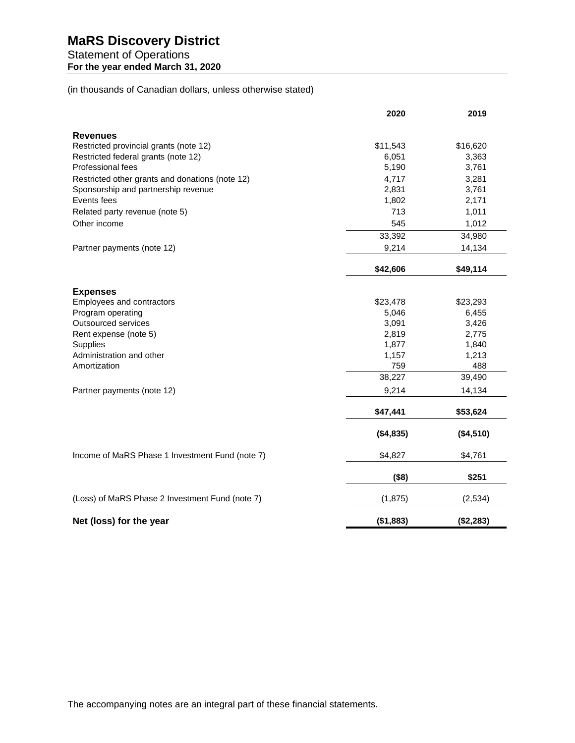# Statement of Operations **For the year ended March 31, 2020**

(in thousands of Canadian dollars, unless otherwise stated)

|                                                 | 2020      | 2019      |
|-------------------------------------------------|-----------|-----------|
| <b>Revenues</b>                                 |           |           |
| Restricted provincial grants (note 12)          | \$11,543  | \$16,620  |
| Restricted federal grants (note 12)             | 6,051     | 3,363     |
| Professional fees                               | 5,190     | 3,761     |
| Restricted other grants and donations (note 12) | 4,717     | 3,281     |
| Sponsorship and partnership revenue             | 2,831     | 3,761     |
| Events fees                                     | 1,802     | 2,171     |
| Related party revenue (note 5)                  | 713       | 1,011     |
| Other income                                    | 545       | 1,012     |
|                                                 | 33,392    | 34,980    |
| Partner payments (note 12)                      | 9,214     | 14,134    |
|                                                 |           |           |
|                                                 | \$42,606  | \$49,114  |
|                                                 |           |           |
| <b>Expenses</b><br>Employees and contractors    | \$23,478  | \$23,293  |
| Program operating                               | 5,046     | 6,455     |
| Outsourced services                             | 3,091     | 3,426     |
| Rent expense (note 5)                           | 2,819     | 2,775     |
| Supplies                                        | 1,877     | 1,840     |
| Administration and other                        | 1,157     | 1,213     |
| Amortization                                    | 759       | 488       |
|                                                 | 38,227    | 39,490    |
| Partner payments (note 12)                      | 9,214     | 14,134    |
|                                                 | \$47,441  | \$53,624  |
|                                                 |           |           |
|                                                 | (\$4,835) | (\$4,510) |
| Income of MaRS Phase 1 Investment Fund (note 7) | \$4,827   | \$4,761   |
|                                                 | (\$8)     | \$251     |
| (Loss) of MaRS Phase 2 Investment Fund (note 7) | (1, 875)  | (2, 534)  |
| Net (loss) for the year                         | (\$1,883) | (\$2,283) |

The accompanying notes are an integral part of these financial statements.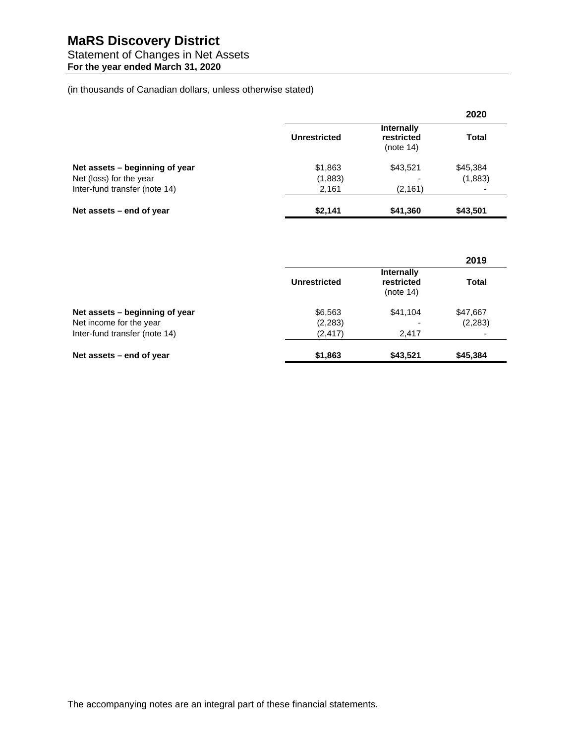# Statement of Changes in Net Assets

**For the year ended March 31, 2020** 

(in thousands of Canadian dollars, unless otherwise stated)

|                                |              |                                              | 2020     |
|--------------------------------|--------------|----------------------------------------------|----------|
|                                | Unrestricted | <b>Internally</b><br>restricted<br>(note 14) | Total    |
| Net assets - beginning of year | \$1,863      | \$43,521                                     | \$45,384 |
| Net (loss) for the year        | (1,883)      |                                              | (1,883)  |
| Inter-fund transfer (note 14)  | 2,161        | (2, 161)                                     |          |
| Net assets – end of year       | \$2,141      | \$41,360                                     | \$43,501 |

|                                |              |                                              | 2019     |
|--------------------------------|--------------|----------------------------------------------|----------|
|                                | Unrestricted | <b>Internally</b><br>restricted<br>(note 14) | Total    |
| Net assets – beginning of year | \$6,563      | \$41.104                                     | \$47,667 |
| Net income for the year        | (2, 283)     |                                              | (2,283)  |
| Inter-fund transfer (note 14)  | (2, 417)     | 2,417                                        |          |
| Net assets – end of year       | \$1,863      | \$43,521                                     | \$45,384 |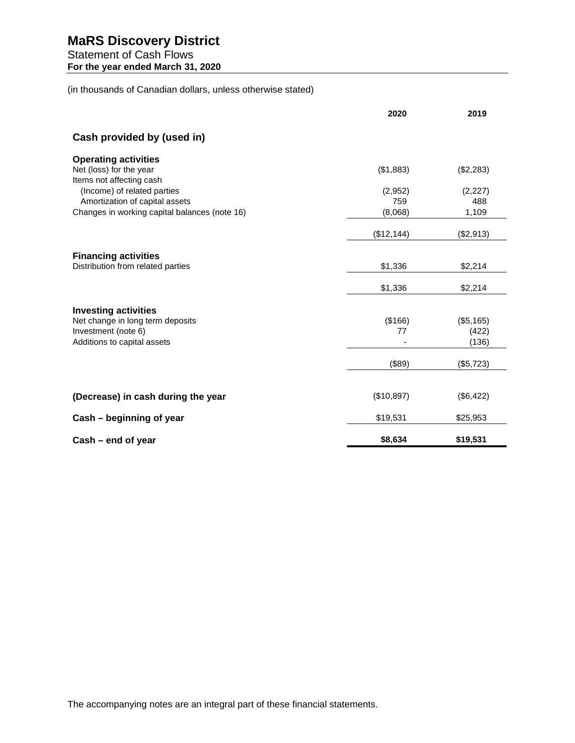Statement of Cash Flows **For the year ended March 31, 2020** 

(in thousands of Canadian dollars, unless otherwise stated)

|                                                     | 2020       | 2019      |
|-----------------------------------------------------|------------|-----------|
| Cash provided by (used in)                          |            |           |
| <b>Operating activities</b>                         |            |           |
| Net (loss) for the year<br>Items not affecting cash | (\$1,883)  | (\$2,283) |
| (Income) of related parties                         | (2,952)    | (2,227)   |
| Amortization of capital assets                      | 759        | 488       |
| Changes in working capital balances (note 16)       | (8,068)    | 1,109     |
|                                                     | (\$12,144) | (\$2,913) |
| <b>Financing activities</b>                         |            |           |
| Distribution from related parties                   | \$1,336    | \$2,214   |
|                                                     | \$1,336    | \$2,214   |
| <b>Investing activities</b>                         |            |           |
| Net change in long term deposits                    | (\$166)    | (\$5,165) |
| Investment (note 6)                                 | 77         | (422)     |
| Additions to capital assets                         |            | (136)     |
|                                                     | (\$89)     | (\$5,723) |
|                                                     |            |           |
| (Decrease) in cash during the year                  | (\$10,897) | (\$6,422) |
| Cash - beginning of year                            | \$19,531   | \$25,953  |
| Cash – end of year                                  | \$8,634    | \$19,531  |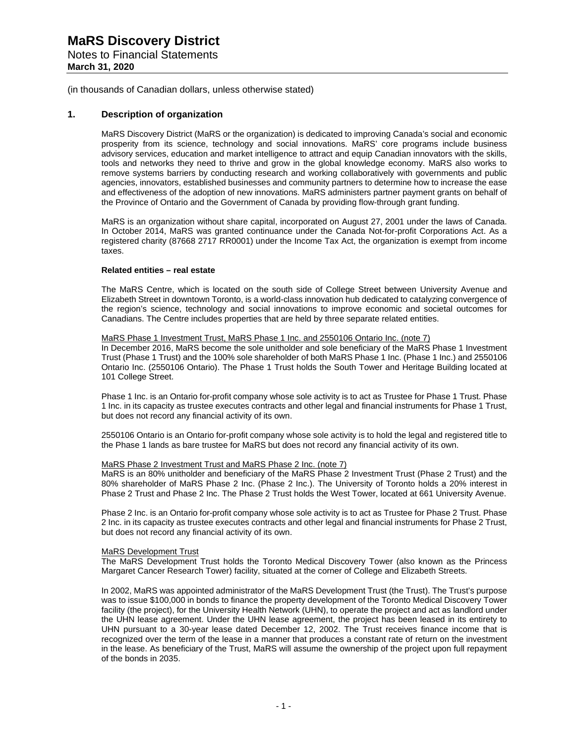Notes to Financial Statements **March 31, 2020** 

(in thousands of Canadian dollars, unless otherwise stated)

# **1. Description of organization**

MaRS Discovery District (MaRS or the organization) is dedicated to improving Canada's social and economic prosperity from its science, technology and social innovations. MaRS' core programs include business advisory services, education and market intelligence to attract and equip Canadian innovators with the skills, tools and networks they need to thrive and grow in the global knowledge economy. MaRS also works to remove systems barriers by conducting research and working collaboratively with governments and public agencies, innovators, established businesses and community partners to determine how to increase the ease and effectiveness of the adoption of new innovations. MaRS administers partner payment grants on behalf of the Province of Ontario and the Government of Canada by providing flow-through grant funding.

MaRS is an organization without share capital, incorporated on August 27, 2001 under the laws of Canada. In October 2014, MaRS was granted continuance under the Canada Not-for-profit Corporations Act. As a registered charity (87668 2717 RR0001) under the Income Tax Act, the organization is exempt from income taxes.

### **Related entities – real estate**

The MaRS Centre, which is located on the south side of College Street between University Avenue and Elizabeth Street in downtown Toronto, is a world-class innovation hub dedicated to catalyzing convergence of the region's science, technology and social innovations to improve economic and societal outcomes for Canadians. The Centre includes properties that are held by three separate related entities.

#### MaRS Phase 1 Investment Trust, MaRS Phase 1 Inc. and 2550106 Ontario Inc. (note 7)

In December 2016, MaRS become the sole unitholder and sole beneficiary of the MaRS Phase 1 Investment Trust (Phase 1 Trust) and the 100% sole shareholder of both MaRS Phase 1 Inc. (Phase 1 Inc.) and 2550106 Ontario Inc. (2550106 Ontario). The Phase 1 Trust holds the South Tower and Heritage Building located at 101 College Street.

Phase 1 Inc. is an Ontario for-profit company whose sole activity is to act as Trustee for Phase 1 Trust. Phase 1 Inc. in its capacity as trustee executes contracts and other legal and financial instruments for Phase 1 Trust, but does not record any financial activity of its own.

2550106 Ontario is an Ontario for-profit company whose sole activity is to hold the legal and registered title to the Phase 1 lands as bare trustee for MaRS but does not record any financial activity of its own.

# MaRS Phase 2 Investment Trust and MaRS Phase 2 Inc. (note 7)

MaRS is an 80% unitholder and beneficiary of the MaRS Phase 2 Investment Trust (Phase 2 Trust) and the 80% shareholder of MaRS Phase 2 Inc. (Phase 2 Inc.). The University of Toronto holds a 20% interest in Phase 2 Trust and Phase 2 Inc. The Phase 2 Trust holds the West Tower, located at 661 University Avenue.

Phase 2 Inc. is an Ontario for-profit company whose sole activity is to act as Trustee for Phase 2 Trust. Phase 2 Inc. in its capacity as trustee executes contracts and other legal and financial instruments for Phase 2 Trust, but does not record any financial activity of its own.

### MaRS Development Trust

The MaRS Development Trust holds the Toronto Medical Discovery Tower (also known as the Princess Margaret Cancer Research Tower) facility, situated at the corner of College and Elizabeth Streets.

In 2002, MaRS was appointed administrator of the MaRS Development Trust (the Trust). The Trust's purpose was to issue \$100,000 in bonds to finance the property development of the Toronto Medical Discovery Tower facility (the project), for the University Health Network (UHN), to operate the project and act as landlord under the UHN lease agreement. Under the UHN lease agreement, the project has been leased in its entirety to UHN pursuant to a 30-year lease dated December 12, 2002. The Trust receives finance income that is recognized over the term of the lease in a manner that produces a constant rate of return on the investment in the lease. As beneficiary of the Trust, MaRS will assume the ownership of the project upon full repayment of the bonds in 2035.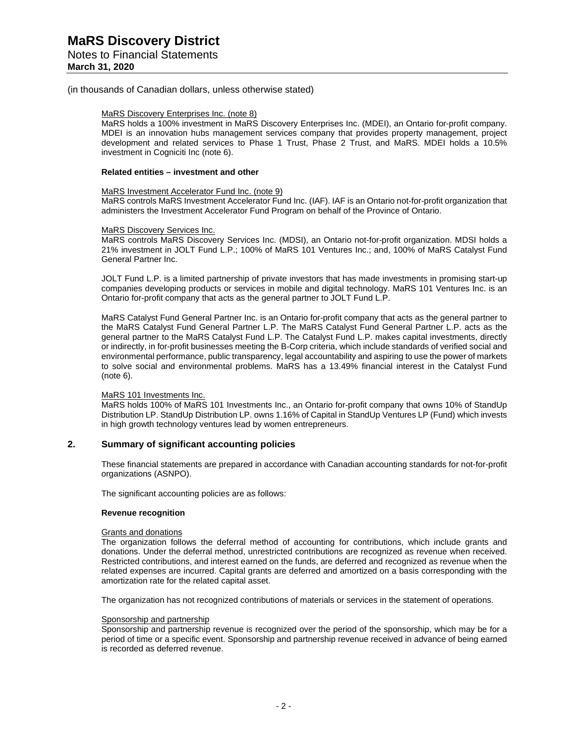**March 31, 2020** 

### (in thousands of Canadian dollars, unless otherwise stated)

#### MaRS Discovery Enterprises Inc. (note 8)

MaRS holds a 100% investment in MaRS Discovery Enterprises Inc. (MDEI), an Ontario for-profit company. MDEI is an innovation hubs management services company that provides property management, project development and related services to Phase 1 Trust, Phase 2 Trust, and MaRS. MDEI holds a 10.5% investment in Cogniciti Inc (note 6).

#### **Related entities – investment and other**

#### MaRS Investment Accelerator Fund Inc. (note 9)

MaRS controls MaRS Investment Accelerator Fund Inc. (IAF). IAF is an Ontario not-for-profit organization that administers the Investment Accelerator Fund Program on behalf of the Province of Ontario.

#### MaRS Discovery Services Inc.

MaRS controls MaRS Discovery Services Inc. (MDSI), an Ontario not-for-profit organization. MDSI holds a 21% investment in JOLT Fund L.P.; 100% of MaRS 101 Ventures Inc.; and, 100% of MaRS Catalyst Fund General Partner Inc.

JOLT Fund L.P. is a limited partnership of private investors that has made investments in promising start-up companies developing products or services in mobile and digital technology. MaRS 101 Ventures Inc. is an Ontario for-profit company that acts as the general partner to JOLT Fund L.P.

MaRS Catalyst Fund General Partner Inc. is an Ontario for-profit company that acts as the general partner to the MaRS Catalyst Fund General Partner L.P. The MaRS Catalyst Fund General Partner L.P. acts as the general partner to the MaRS Catalyst Fund L.P. The Catalyst Fund L.P. makes capital investments, directly or indirectly, in for-profit businesses meeting the B-Corp criteria, which include standards of verified social and environmental performance, public transparency, legal accountability and aspiring to use the power of markets to solve social and environmental problems. MaRS has a 13.49% financial interest in the Catalyst Fund (note 6).

#### MaRS 101 Investments Inc.

MaRS holds 100% of MaRS 101 Investments Inc., an Ontario for-profit company that owns 10% of StandUp Distribution LP. StandUp Distribution LP. owns 1.16% of Capital in StandUp Ventures LP (Fund) which invests in high growth technology ventures lead by women entrepreneurs.

### **2. Summary of significant accounting policies**

These financial statements are prepared in accordance with Canadian accounting standards for not-for-profit organizations (ASNPO).

The significant accounting policies are as follows:

#### **Revenue recognition**

#### Grants and donations

The organization follows the deferral method of accounting for contributions, which include grants and donations. Under the deferral method, unrestricted contributions are recognized as revenue when received. Restricted contributions, and interest earned on the funds, are deferred and recognized as revenue when the related expenses are incurred. Capital grants are deferred and amortized on a basis corresponding with the amortization rate for the related capital asset.

The organization has not recognized contributions of materials or services in the statement of operations.

## Sponsorship and partnership

Sponsorship and partnership revenue is recognized over the period of the sponsorship, which may be for a period of time or a specific event. Sponsorship and partnership revenue received in advance of being earned is recorded as deferred revenue.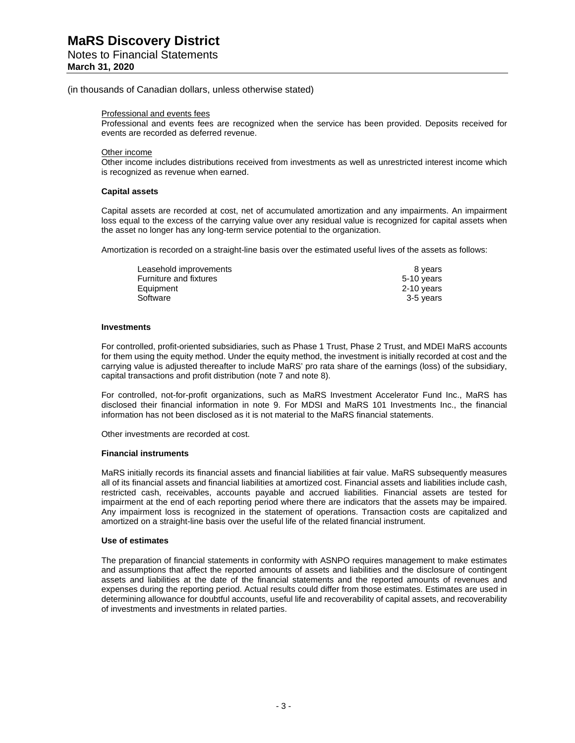# **March 31, 2020**

### (in thousands of Canadian dollars, unless otherwise stated)

#### Professional and events fees

Professional and events fees are recognized when the service has been provided. Deposits received for events are recorded as deferred revenue.

#### Other income

Other income includes distributions received from investments as well as unrestricted interest income which is recognized as revenue when earned.

#### **Capital assets**

Capital assets are recorded at cost, net of accumulated amortization and any impairments. An impairment loss equal to the excess of the carrying value over any residual value is recognized for capital assets when the asset no longer has any long-term service potential to the organization.

Amortization is recorded on a straight-line basis over the estimated useful lives of the assets as follows:

| Leasehold improvements | 8 years    |
|------------------------|------------|
| Furniture and fixtures | 5-10 years |
| Equipment              | 2-10 years |
| Software               | 3-5 years  |

#### **Investments**

For controlled, profit-oriented subsidiaries, such as Phase 1 Trust, Phase 2 Trust, and MDEI MaRS accounts for them using the equity method. Under the equity method, the investment is initially recorded at cost and the carrying value is adjusted thereafter to include MaRS' pro rata share of the earnings (loss) of the subsidiary, capital transactions and profit distribution (note 7 and note 8).

For controlled, not-for-profit organizations, such as MaRS Investment Accelerator Fund Inc., MaRS has disclosed their financial information in note 9. For MDSI and MaRS 101 Investments Inc., the financial information has not been disclosed as it is not material to the MaRS financial statements.

Other investments are recorded at cost.

### **Financial instruments**

MaRS initially records its financial assets and financial liabilities at fair value. MaRS subsequently measures all of its financial assets and financial liabilities at amortized cost. Financial assets and liabilities include cash, restricted cash, receivables, accounts payable and accrued liabilities. Financial assets are tested for impairment at the end of each reporting period where there are indicators that the assets may be impaired. Any impairment loss is recognized in the statement of operations. Transaction costs are capitalized and amortized on a straight-line basis over the useful life of the related financial instrument.

### **Use of estimates**

The preparation of financial statements in conformity with ASNPO requires management to make estimates and assumptions that affect the reported amounts of assets and liabilities and the disclosure of contingent assets and liabilities at the date of the financial statements and the reported amounts of revenues and expenses during the reporting period. Actual results could differ from those estimates. Estimates are used in determining allowance for doubtful accounts, useful life and recoverability of capital assets, and recoverability of investments and investments in related parties.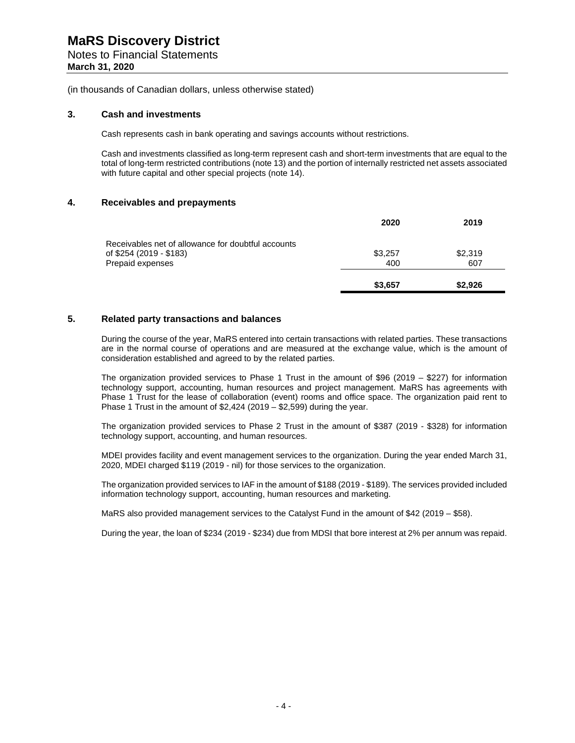# Notes to Financial Statements

**March 31, 2020** 

(in thousands of Canadian dollars, unless otherwise stated)

# **3. Cash and investments**

Cash represents cash in bank operating and savings accounts without restrictions.

Cash and investments classified as long-term represent cash and short-term investments that are equal to the total of long-term restricted contributions (note 13) and the portion of internally restricted net assets associated with future capital and other special projects (note 14).

## **4. Receivables and prepayments**

|                                                    | 2020    | 2019    |
|----------------------------------------------------|---------|---------|
| Receivables net of allowance for doubtful accounts |         |         |
| of \$254 (2019 - \$183)                            | \$3,257 | \$2,319 |
| Prepaid expenses                                   | 400     | 607     |
|                                                    | \$3,657 | \$2,926 |

## **5. Related party transactions and balances**

During the course of the year, MaRS entered into certain transactions with related parties. These transactions are in the normal course of operations and are measured at the exchange value, which is the amount of consideration established and agreed to by the related parties.

The organization provided services to Phase 1 Trust in the amount of \$96 (2019 – \$227) for information technology support, accounting, human resources and project management. MaRS has agreements with Phase 1 Trust for the lease of collaboration (event) rooms and office space. The organization paid rent to Phase 1 Trust in the amount of \$2,424 (2019 – \$2,599) during the year.

The organization provided services to Phase 2 Trust in the amount of \$387 (2019 - \$328) for information technology support, accounting, and human resources.

MDEI provides facility and event management services to the organization. During the year ended March 31, 2020, MDEI charged \$119 (2019 - nil) for those services to the organization.

The organization provided services to IAF in the amount of \$188 (2019 - \$189). The services provided included information technology support, accounting, human resources and marketing.

MaRS also provided management services to the Catalyst Fund in the amount of \$42 (2019 – \$58).

During the year, the loan of \$234 (2019 - \$234) due from MDSI that bore interest at 2% per annum was repaid.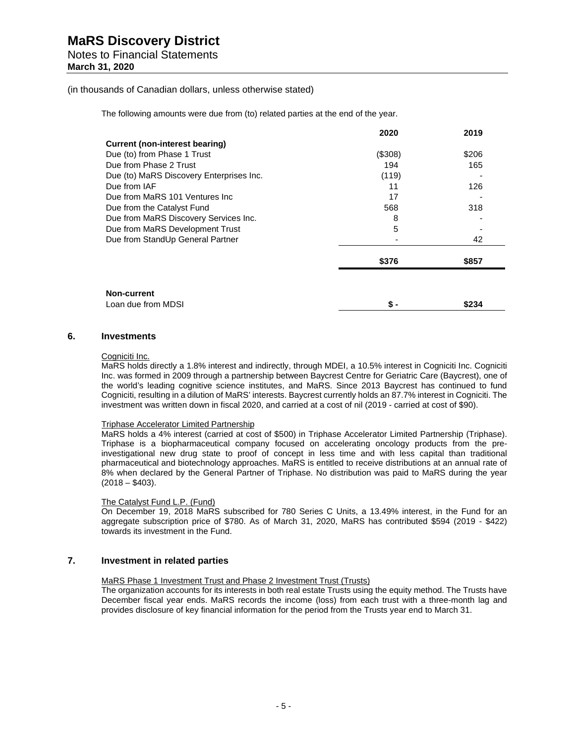# Notes to Financial Statements

**March 31, 2020** 

### (in thousands of Canadian dollars, unless otherwise stated)

The following amounts were due from (to) related parties at the end of the year.

|                                          | 2020    | 2019  |
|------------------------------------------|---------|-------|
| <b>Current (non-interest bearing)</b>    |         |       |
| Due (to) from Phase 1 Trust              | (\$308) | \$206 |
| Due from Phase 2 Trust                   | 194     | 165   |
| Due (to) MaRS Discovery Enterprises Inc. | (119)   |       |
| Due from IAF                             | 11      | 126   |
| Due from MaRS 101 Ventures Inc.          | 17      |       |
| Due from the Catalyst Fund               | 568     | 318   |
| Due from MaRS Discovery Services Inc.    | 8       |       |
| Due from MaRS Development Trust          | 5       |       |
| Due from StandUp General Partner         |         | 42    |
|                                          | \$376   | \$857 |
|                                          |         |       |
| Non-current                              |         |       |
| Loan due from MDSI                       | \$-     | \$234 |

# **6. Investments**

### Cogniciti Inc.

MaRS holds directly a 1.8% interest and indirectly, through MDEI, a 10.5% interest in Cogniciti Inc. Cogniciti Inc. was formed in 2009 through a partnership between Baycrest Centre for Geriatric Care (Baycrest), one of the world's leading cognitive science institutes, and MaRS. Since 2013 Baycrest has continued to fund Cogniciti, resulting in a dilution of MaRS' interests. Baycrest currently holds an 87.7% interest in Cogniciti. The investment was written down in fiscal 2020, and carried at a cost of nil (2019 - carried at cost of \$90).

### Triphase Accelerator Limited Partnership

MaRS holds a 4% interest (carried at cost of \$500) in Triphase Accelerator Limited Partnership (Triphase). Triphase is a biopharmaceutical company focused on accelerating oncology products from the preinvestigational new drug state to proof of concept in less time and with less capital than traditional pharmaceutical and biotechnology approaches. MaRS is entitled to receive distributions at an annual rate of 8% when declared by the General Partner of Triphase. No distribution was paid to MaRS during the year  $(2018 - $403)$ .

### The Catalyst Fund L.P. (Fund)

On December 19, 2018 MaRS subscribed for 780 Series C Units, a 13.49% interest, in the Fund for an aggregate subscription price of \$780. As of March 31, 2020, MaRS has contributed \$594 (2019 - \$422) towards its investment in the Fund.

## **7. Investment in related parties**

### MaRS Phase 1 Investment Trust and Phase 2 Investment Trust (Trusts)

The organization accounts for its interests in both real estate Trusts using the equity method. The Trusts have December fiscal year ends. MaRS records the income (loss) from each trust with a three-month lag and provides disclosure of key financial information for the period from the Trusts year end to March 31.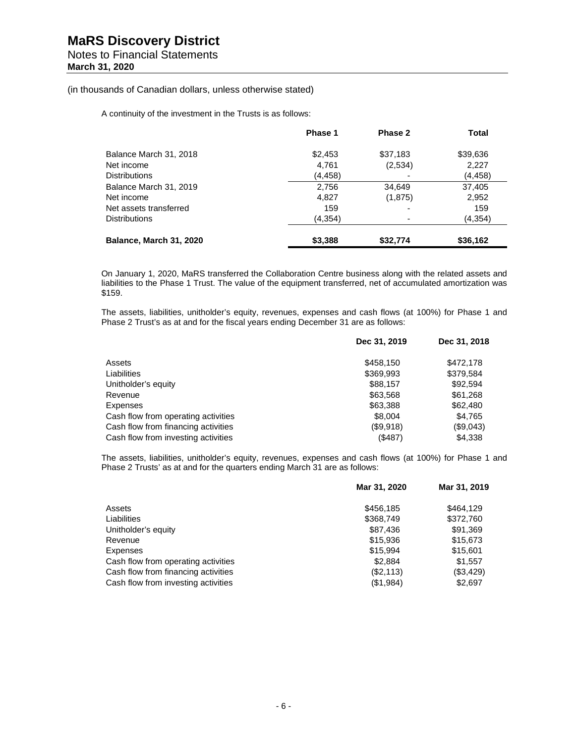Notes to Financial Statements **March 31, 2020** 

### (in thousands of Canadian dollars, unless otherwise stated)

A continuity of the investment in the Trusts is as follows:

|                         | Phase 1 | Phase 2                  | Total    |
|-------------------------|---------|--------------------------|----------|
| Balance March 31, 2018  | \$2,453 | \$37,183                 | \$39,636 |
| Net income              | 4,761   | (2,534)                  | 2,227    |
| <b>Distributions</b>    | (4,458) |                          | (4, 458) |
| Balance March 31, 2019  | 2,756   | 34.649                   | 37,405   |
| Net income              | 4,827   | (1,875)                  | 2,952    |
| Net assets transferred  | 159     | $\overline{\phantom{0}}$ | 159      |
| <b>Distributions</b>    | (4,354) | ٠                        | (4,354)  |
| Balance, March 31, 2020 | \$3,388 | \$32,774                 | \$36,162 |

On January 1, 2020, MaRS transferred the Collaboration Centre business along with the related assets and liabilities to the Phase 1 Trust. The value of the equipment transferred, net of accumulated amortization was \$159.

The assets, liabilities, unitholder's equity, revenues, expenses and cash flows (at 100%) for Phase 1 and Phase 2 Trust's as at and for the fiscal years ending December 31 are as follows:

|                                     | Dec 31, 2019 | Dec 31, 2018 |
|-------------------------------------|--------------|--------------|
| Assets                              | \$458,150    | \$472,178    |
| Liabilities                         | \$369,993    | \$379,584    |
| Unitholder's equity                 | \$88,157     | \$92,594     |
| Revenue                             | \$63,568     | \$61,268     |
| <b>Expenses</b>                     | \$63,388     | \$62,480     |
| Cash flow from operating activities | \$8,004      | \$4,765      |
| Cash flow from financing activities | (\$9,918)    | (\$9,043)    |
| Cash flow from investing activities | (\$487)      | \$4,338      |

The assets, liabilities, unitholder's equity, revenues, expenses and cash flows (at 100%) for Phase 1 and Phase 2 Trusts' as at and for the quarters ending March 31 are as follows:

|                                     | Mar 31, 2020 | Mar 31, 2019 |
|-------------------------------------|--------------|--------------|
| Assets                              | \$456,185    | \$464.129    |
| Liabilities                         | \$368,749    | \$372,760    |
| Unitholder's equity                 | \$87,436     | \$91,369     |
| Revenue                             | \$15,936     | \$15,673     |
| <b>Expenses</b>                     | \$15,994     | \$15,601     |
| Cash flow from operating activities | \$2,884      | \$1,557      |
| Cash flow from financing activities | (\$2,113)    | (\$3,429)    |
| Cash flow from investing activities | (\$1,984)    | \$2,697      |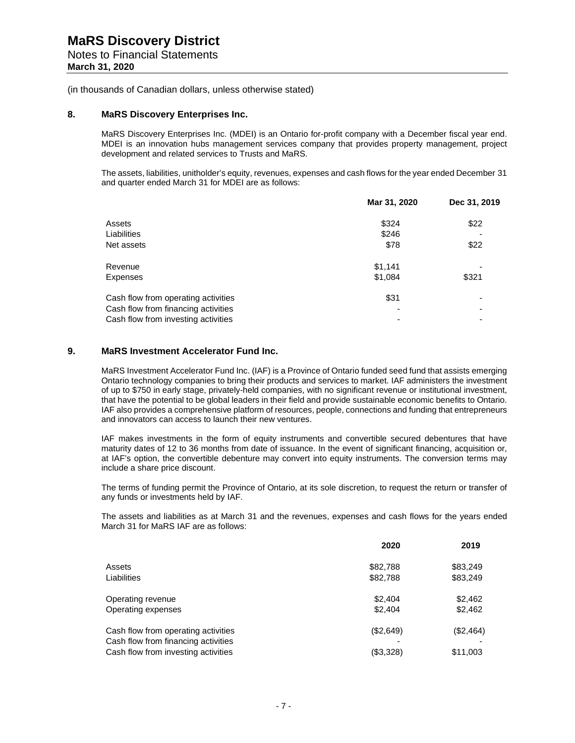Notes to Financial Statements **March 31, 2020** 

(in thousands of Canadian dollars, unless otherwise stated)

## **8. MaRS Discovery Enterprises Inc.**

MaRS Discovery Enterprises Inc. (MDEI) is an Ontario for-profit company with a December fiscal year end. MDEI is an innovation hubs management services company that provides property management, project development and related services to Trusts and MaRS.

The assets, liabilities, unitholder's equity, revenues, expenses and cash flows for the year ended December 31 and quarter ended March 31 for MDEI are as follows:

|                                     | Mar 31, 2020 | Dec 31, 2019 |
|-------------------------------------|--------------|--------------|
| Assets                              | \$324        | \$22         |
| Liabilities                         | \$246        |              |
| Net assets                          | \$78         | \$22         |
| Revenue                             | \$1,141      |              |
| Expenses                            | \$1,084      | \$321        |
| Cash flow from operating activities | \$31         |              |
| Cash flow from financing activities |              |              |
| Cash flow from investing activities |              |              |

# **9. MaRS Investment Accelerator Fund Inc.**

MaRS Investment Accelerator Fund Inc. (IAF) is a Province of Ontario funded seed fund that assists emerging Ontario technology companies to bring their products and services to market. IAF administers the investment of up to \$750 in early stage, privately-held companies, with no significant revenue or institutional investment, that have the potential to be global leaders in their field and provide sustainable economic benefits to Ontario. IAF also provides a comprehensive platform of resources, people, connections and funding that entrepreneurs and innovators can access to launch their new ventures.

IAF makes investments in the form of equity instruments and convertible secured debentures that have maturity dates of 12 to 36 months from date of issuance. In the event of significant financing, acquisition or, at IAF's option, the convertible debenture may convert into equity instruments. The conversion terms may include a share price discount.

The terms of funding permit the Province of Ontario, at its sole discretion, to request the return or transfer of any funds or investments held by IAF.

The assets and liabilities as at March 31 and the revenues, expenses and cash flows for the years ended March 31 for MaRS IAF are as follows:

|                                     | 2020      | 2019      |
|-------------------------------------|-----------|-----------|
| Assets                              | \$82,788  | \$83,249  |
| Liabilities                         | \$82,788  | \$83,249  |
| Operating revenue                   | \$2,404   | \$2,462   |
| Operating expenses                  | \$2,404   | \$2,462   |
| Cash flow from operating activities | (\$2,649) | (\$2,464) |
| Cash flow from financing activities |           |           |
| Cash flow from investing activities | (\$3,328) | \$11,003  |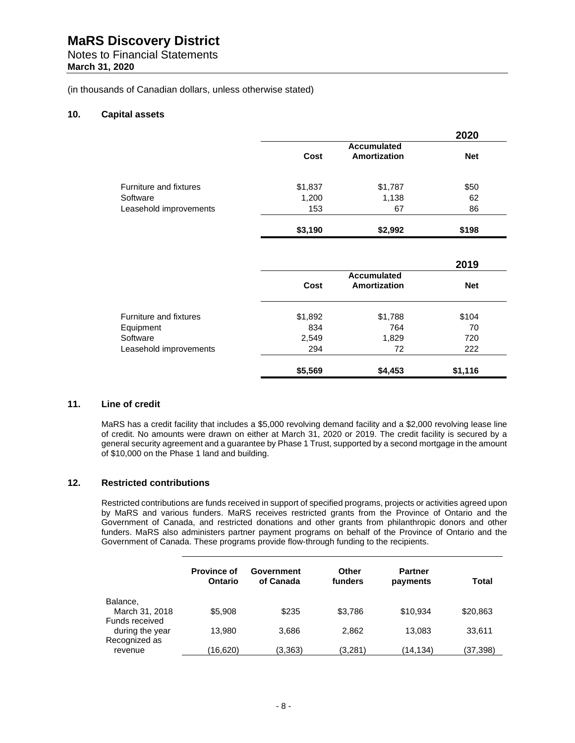# Notes to Financial Statements

**March 31, 2020** 

(in thousands of Canadian dollars, unless otherwise stated)

# **10. Capital assets**

|         |                                    | 2020       |
|---------|------------------------------------|------------|
| Cost    | <b>Accumulated</b><br>Amortization | <b>Net</b> |
| \$1,837 | \$1,787                            | \$50       |
| 1,200   | 1,138                              | 62         |
| 153     | 67                                 | 86         |
| \$3,190 | \$2,992                            | \$198      |
|         |                                    |            |

|                        |         |                                    | 2019       |
|------------------------|---------|------------------------------------|------------|
|                        | Cost    | <b>Accumulated</b><br>Amortization | <b>Net</b> |
| Furniture and fixtures | \$1,892 | \$1,788                            | \$104      |
| Equipment              | 834     | 764                                | 70         |
| Software               | 2,549   | 1,829                              | 720        |
| Leasehold improvements | 294     | 72                                 | 222        |
|                        | \$5,569 | \$4,453                            | \$1,116    |

# **11. Line of credit**

MaRS has a credit facility that includes a \$5,000 revolving demand facility and a \$2,000 revolving lease line of credit. No amounts were drawn on either at March 31, 2020 or 2019. The credit facility is secured by a general security agreement and a guarantee by Phase 1 Trust, supported by a second mortgage in the amount of \$10,000 on the Phase 1 land and building.

## **12. Restricted contributions**

Restricted contributions are funds received in support of specified programs, projects or activities agreed upon by MaRS and various funders. MaRS receives restricted grants from the Province of Ontario and the Government of Canada, and restricted donations and other grants from philanthropic donors and other funders. MaRS also administers partner payment programs on behalf of the Province of Ontario and the Government of Canada. These programs provide flow-through funding to the recipients.

|                                                    | <b>Province of</b><br>Ontario | Government<br>of Canada | Other<br>funders | <b>Partner</b><br>payments | Total    |
|----------------------------------------------------|-------------------------------|-------------------------|------------------|----------------------------|----------|
| Balance,<br>March 31, 2018                         | \$5,908                       | \$235                   | \$3,786          | \$10,934                   | \$20,863 |
| Funds received<br>during the year<br>Recognized as | 13.980                        | 3,686                   | 2.862            | 13.083                     | 33,611   |
| revenue                                            | (16, 620)                     | (3,363)                 | (3,281)          | (14,134)                   | (37.398) |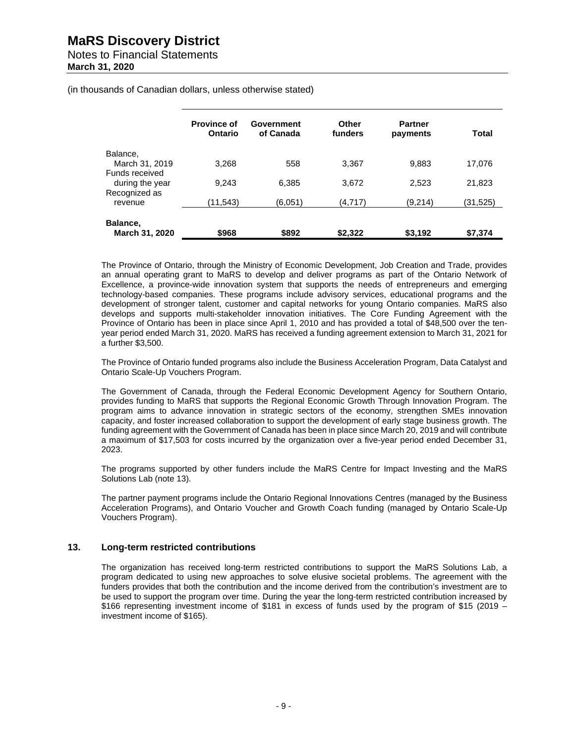Notes to Financial Statements **March 31, 2020** 

|                                   | <b>Province of</b><br>Ontario | Government<br>of Canada | Other<br>funders | <b>Partner</b><br>payments | <b>Total</b> |
|-----------------------------------|-------------------------------|-------------------------|------------------|----------------------------|--------------|
| Balance,                          |                               |                         |                  |                            |              |
| March 31, 2019                    | 3.268                         | 558                     | 3,367            | 9,883                      | 17,076       |
| Funds received<br>during the year | 9.243                         | 6,385                   | 3,672            | 2,523                      | 21,823       |
| Recognized as                     |                               |                         |                  |                            |              |
| revenue                           | (11, 543)                     | (6.051)                 | (4, 717)         | (9,214)                    | (31,525)     |
| Balance,<br>March 31, 2020        | \$968                         | \$892                   | \$2,322          | \$3,192                    | \$7,374      |

(in thousands of Canadian dollars, unless otherwise stated)

The Province of Ontario, through the Ministry of Economic Development, Job Creation and Trade, provides an annual operating grant to MaRS to develop and deliver programs as part of the Ontario Network of Excellence, a province-wide innovation system that supports the needs of entrepreneurs and emerging technology-based companies. These programs include advisory services, educational programs and the development of stronger talent, customer and capital networks for young Ontario companies. MaRS also develops and supports multi-stakeholder innovation initiatives. The Core Funding Agreement with the Province of Ontario has been in place since April 1, 2010 and has provided a total of \$48,500 over the tenyear period ended March 31, 2020. MaRS has received a funding agreement extension to March 31, 2021 for a further \$3,500.

The Province of Ontario funded programs also include the Business Acceleration Program, Data Catalyst and Ontario Scale-Up Vouchers Program.

The Government of Canada, through the Federal Economic Development Agency for Southern Ontario, provides funding to MaRS that supports the Regional Economic Growth Through Innovation Program. The program aims to advance innovation in strategic sectors of the economy, strengthen SMEs innovation capacity, and foster increased collaboration to support the development of early stage business growth. The funding agreement with the Government of Canada has been in place since March 20, 2019 and will contribute a maximum of \$17,503 for costs incurred by the organization over a five-year period ended December 31, 2023.

The programs supported by other funders include the MaRS Centre for Impact Investing and the MaRS Solutions Lab (note 13).

The partner payment programs include the Ontario Regional Innovations Centres (managed by the Business Acceleration Programs), and Ontario Voucher and Growth Coach funding (managed by Ontario Scale-Up Vouchers Program).

### **13. Long-term restricted contributions**

The organization has received long-term restricted contributions to support the MaRS Solutions Lab, a program dedicated to using new approaches to solve elusive societal problems. The agreement with the funders provides that both the contribution and the income derived from the contribution's investment are to be used to support the program over time. During the year the long-term restricted contribution increased by \$166 representing investment income of \$181 in excess of funds used by the program of \$15 (2019 – investment income of \$165).